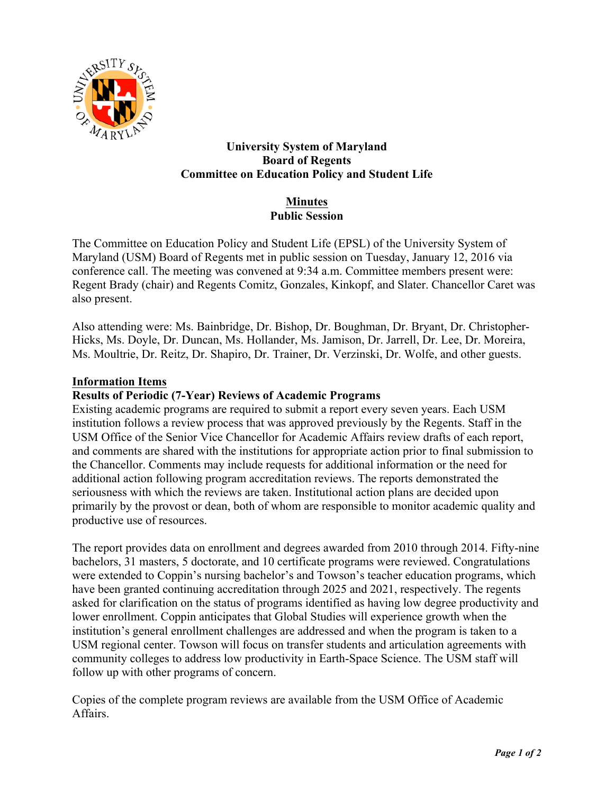

# **University System of Maryland Board of Regents Committee on Education Policy and Student Life**

# **Minutes Public Session**

The Committee on Education Policy and Student Life (EPSL) of the University System of Maryland (USM) Board of Regents met in public session on Tuesday, January 12, 2016 via conference call. The meeting was convened at 9:34 a.m. Committee members present were: Regent Brady (chair) and Regents Comitz, Gonzales, Kinkopf, and Slater. Chancellor Caret was also present.

Also attending were: Ms. Bainbridge, Dr. Bishop, Dr. Boughman, Dr. Bryant, Dr. Christopher-Hicks, Ms. Doyle, Dr. Duncan, Ms. Hollander, Ms. Jamison, Dr. Jarrell, Dr. Lee, Dr. Moreira, Ms. Moultrie, Dr. Reitz, Dr. Shapiro, Dr. Trainer, Dr. Verzinski, Dr. Wolfe, and other guests.

#### **Information Items**

### **Results of Periodic (7-Year) Reviews of Academic Programs**

Existing academic programs are required to submit a report every seven years. Each USM institution follows a review process that was approved previously by the Regents. Staff in the USM Office of the Senior Vice Chancellor for Academic Affairs review drafts of each report, and comments are shared with the institutions for appropriate action prior to final submission to the Chancellor. Comments may include requests for additional information or the need for additional action following program accreditation reviews. The reports demonstrated the seriousness with which the reviews are taken. Institutional action plans are decided upon primarily by the provost or dean, both of whom are responsible to monitor academic quality and productive use of resources.

The report provides data on enrollment and degrees awarded from 2010 through 2014. Fifty-nine bachelors, 31 masters, 5 doctorate, and 10 certificate programs were reviewed. Congratulations were extended to Coppin's nursing bachelor's and Towson's teacher education programs, which have been granted continuing accreditation through 2025 and 2021, respectively. The regents asked for clarification on the status of programs identified as having low degree productivity and lower enrollment. Coppin anticipates that Global Studies will experience growth when the institution's general enrollment challenges are addressed and when the program is taken to a USM regional center. Towson will focus on transfer students and articulation agreements with community colleges to address low productivity in Earth-Space Science. The USM staff will follow up with other programs of concern.

Copies of the complete program reviews are available from the USM Office of Academic Affairs.